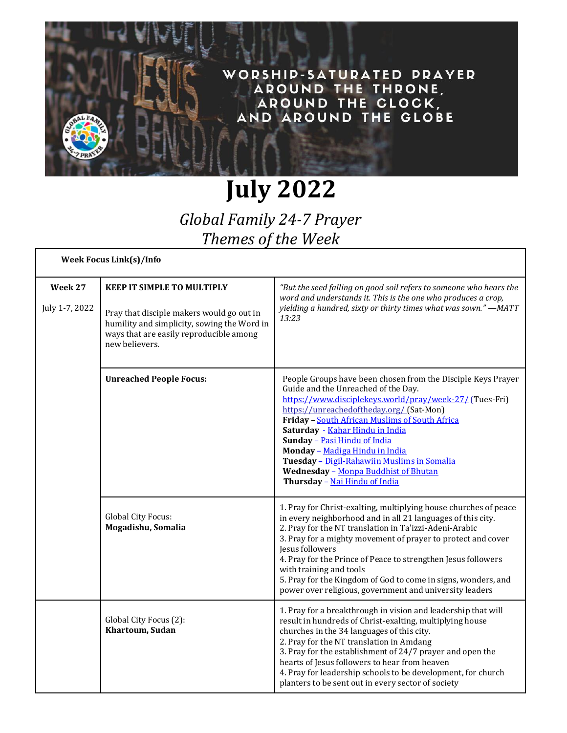

## **July 2022**

*Global Family 24-7 Prayer Themes of the Week*

| <b>Week Focus Link(s)/Info</b> |                                                                                                                                                                                            |                                                                                                                                                                                                                                                                                                                                                                                                                                                                                                      |
|--------------------------------|--------------------------------------------------------------------------------------------------------------------------------------------------------------------------------------------|------------------------------------------------------------------------------------------------------------------------------------------------------------------------------------------------------------------------------------------------------------------------------------------------------------------------------------------------------------------------------------------------------------------------------------------------------------------------------------------------------|
| Week 27<br>July 1-7, 2022      | <b>KEEP IT SIMPLE TO MULTIPLY</b><br>Pray that disciple makers would go out in<br>humility and simplicity, sowing the Word in<br>ways that are easily reproducible among<br>new believers. | "But the seed falling on good soil refers to someone who hears the<br>word and understands it. This is the one who produces a crop,<br>yielding a hundred, sixty or thirty times what was sown." - MATT<br>13:23                                                                                                                                                                                                                                                                                     |
|                                | <b>Unreached People Focus:</b>                                                                                                                                                             | People Groups have been chosen from the Disciple Keys Prayer<br>Guide and the Unreached of the Day.<br>https://www.disciplekeys.world/pray/week-27/ (Tues-Fri)<br>https://unreachedoftheday.org/ (Sat-Mon)<br>Friday - South African Muslims of South Africa<br>Saturday - Kahar Hindu in India<br>Sunday - Pasi Hindu of India<br>Monday - Madiga Hindu in India<br>Tuesday - Digil-Rahawiin Muslims in Somalia<br>Wednesday - Monpa Buddhist of Bhutan<br>Thursday - Nai Hindu of India            |
|                                | Global City Focus:<br>Mogadishu, Somalia                                                                                                                                                   | 1. Pray for Christ-exalting, multiplying house churches of peace<br>in every neighborhood and in all 21 languages of this city.<br>2. Pray for the NT translation in Ta'izzi-Adeni-Arabic<br>3. Pray for a mighty movement of prayer to protect and cover<br>Jesus followers<br>4. Pray for the Prince of Peace to strengthen Jesus followers<br>with training and tools<br>5. Pray for the Kingdom of God to come in signs, wonders, and<br>power over religious, government and university leaders |
|                                | Global City Focus (2):<br>Khartoum, Sudan                                                                                                                                                  | 1. Pray for a breakthrough in vision and leadership that will<br>result in hundreds of Christ-exalting, multiplying house<br>churches in the 34 languages of this city.<br>2. Pray for the NT translation in Amdang<br>3. Pray for the establishment of 24/7 prayer and open the<br>hearts of Jesus followers to hear from heaven<br>4. Pray for leadership schools to be development, for church<br>planters to be sent out in every sector of society                                              |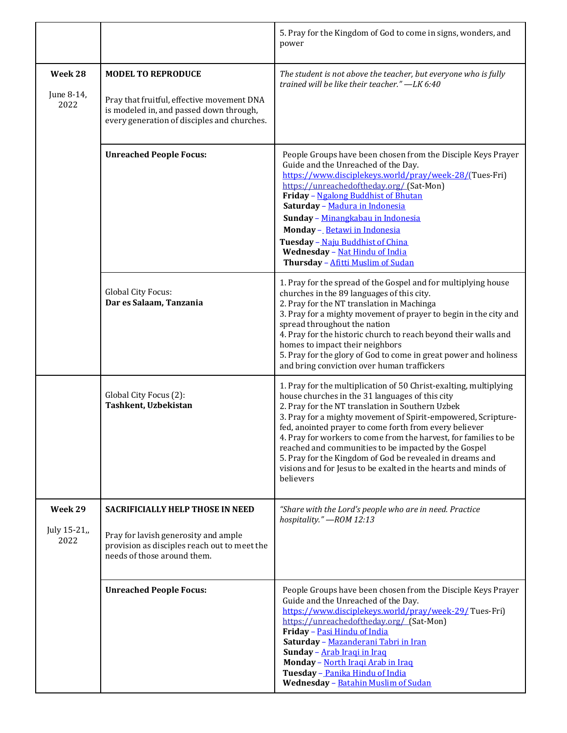|                                |                                                                                                                                                                   | 5. Pray for the Kingdom of God to come in signs, wonders, and<br>power                                                                                                                                                                                                                                                                                                                                                                                                                                                                                                     |
|--------------------------------|-------------------------------------------------------------------------------------------------------------------------------------------------------------------|----------------------------------------------------------------------------------------------------------------------------------------------------------------------------------------------------------------------------------------------------------------------------------------------------------------------------------------------------------------------------------------------------------------------------------------------------------------------------------------------------------------------------------------------------------------------------|
| Week 28<br>June 8-14,<br>2022  | <b>MODEL TO REPRODUCE</b><br>Pray that fruitful, effective movement DNA<br>is modeled in, and passed down through,<br>every generation of disciples and churches. | The student is not above the teacher, but everyone who is fully<br>trained will be like their teacher." -LK 6:40                                                                                                                                                                                                                                                                                                                                                                                                                                                           |
|                                | <b>Unreached People Focus:</b>                                                                                                                                    | People Groups have been chosen from the Disciple Keys Prayer<br>Guide and the Unreached of the Day.<br>https://www.disciplekeys.world/pray/week-28/(Tues-Fri)<br>https://unreachedoftheday.org/ (Sat-Mon)<br>Friday - Ngalong Buddhist of Bhutan<br>Saturday - Madura in Indonesia<br>Sunday - Minangkabau in Indonesia<br>Monday - Betawi in Indonesia<br>Tuesday - Naju Buddhist of China<br>Wednesday - Nat Hindu of India<br>Thursday - Afitti Muslim of Sudan                                                                                                         |
|                                | Global City Focus:<br>Dar es Salaam, Tanzania                                                                                                                     | 1. Pray for the spread of the Gospel and for multiplying house<br>churches in the 89 languages of this city.<br>2. Pray for the NT translation in Machinga<br>3. Pray for a mighty movement of prayer to begin in the city and<br>spread throughout the nation<br>4. Pray for the historic church to reach beyond their walls and<br>homes to impact their neighbors<br>5. Pray for the glory of God to come in great power and holiness<br>and bring conviction over human traffickers                                                                                    |
|                                | Global City Focus (2):<br>Tashkent, Uzbekistan                                                                                                                    | 1. Pray for the multiplication of 50 Christ-exalting, multiplying<br>house churches in the 31 languages of this city<br>2. Pray for the NT translation in Southern Uzbek<br>3. Pray for a mighty movement of Spirit-empowered, Scripture-<br>fed, anointed prayer to come forth from every believer<br>4. Pray for workers to come from the harvest, for families to be<br>reached and communities to be impacted by the Gospel<br>5. Pray for the Kingdom of God be revealed in dreams and<br>visions and for Jesus to be exalted in the hearts and minds of<br>believers |
| Week 29<br>July 15-21,<br>2022 | <b>SACRIFICIALLY HELP THOSE IN NEED</b><br>Pray for lavish generosity and ample<br>provision as disciples reach out to meet the<br>needs of those around them.    | "Share with the Lord's people who are in need. Practice<br>hospitality." - ROM 12:13                                                                                                                                                                                                                                                                                                                                                                                                                                                                                       |
|                                | <b>Unreached People Focus:</b>                                                                                                                                    | People Groups have been chosen from the Disciple Keys Prayer<br>Guide and the Unreached of the Day.<br>https://www.disciplekeys.world/pray/week-29/Tues-Fri)<br>https://unreachedoftheday.org/ (Sat-Mon)<br>Friday - Pasi Hindu of India<br>Saturday - Mazanderani Tabri in Iran<br>Sunday - Arab Iraqi in Iraq<br>Monday - North Iraqi Arab in Iraq<br>Tuesday - Panika Hindu of India<br>Wednesday - Batahin Muslim of Sudan                                                                                                                                             |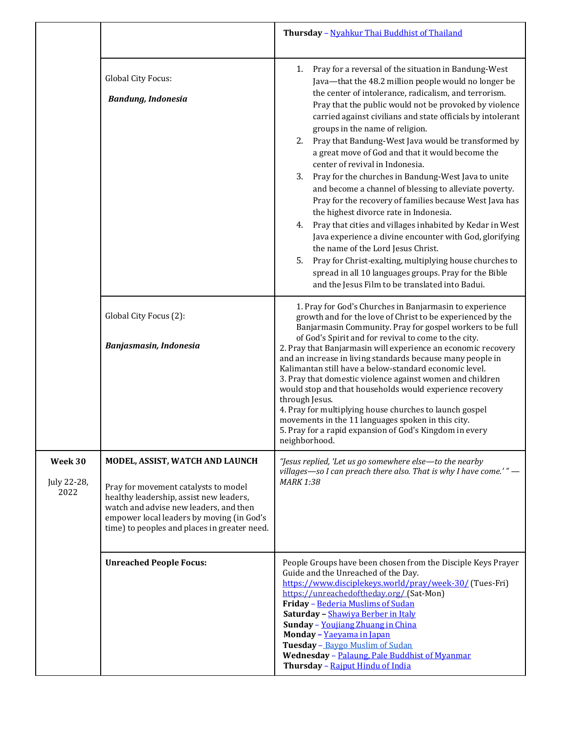|                                |                                                                                                                                                                                                                                                           | Thursday - Nyahkur Thai Buddhist of Thailand                                                                                                                                                                                                                                                                                                                                                                                                                                                                                                                                                                                                                                                                                                                                                                                                                                                                                                                                                                                                                            |
|--------------------------------|-----------------------------------------------------------------------------------------------------------------------------------------------------------------------------------------------------------------------------------------------------------|-------------------------------------------------------------------------------------------------------------------------------------------------------------------------------------------------------------------------------------------------------------------------------------------------------------------------------------------------------------------------------------------------------------------------------------------------------------------------------------------------------------------------------------------------------------------------------------------------------------------------------------------------------------------------------------------------------------------------------------------------------------------------------------------------------------------------------------------------------------------------------------------------------------------------------------------------------------------------------------------------------------------------------------------------------------------------|
|                                | Global City Focus:<br><b>Bandung, Indonesia</b>                                                                                                                                                                                                           | Pray for a reversal of the situation in Bandung-West<br>1.<br>Java-that the 48.2 million people would no longer be<br>the center of intolerance, radicalism, and terrorism.<br>Pray that the public would not be provoked by violence<br>carried against civilians and state officials by intolerant<br>groups in the name of religion.<br>Pray that Bandung-West Java would be transformed by<br>2.<br>a great move of God and that it would become the<br>center of revival in Indonesia.<br>3.<br>Pray for the churches in Bandung-West Java to unite<br>and become a channel of blessing to alleviate poverty.<br>Pray for the recovery of families because West Java has<br>the highest divorce rate in Indonesia.<br>Pray that cities and villages inhabited by Kedar in West<br>4.<br>Java experience a divine encounter with God, glorifying<br>the name of the Lord Jesus Christ.<br>Pray for Christ-exalting, multiplying house churches to<br>5.<br>spread in all 10 languages groups. Pray for the Bible<br>and the Jesus Film to be translated into Badui. |
|                                | Global City Focus (2):<br>Banjasmasin, Indonesia                                                                                                                                                                                                          | 1. Pray for God's Churches in Banjarmasin to experience<br>growth and for the love of Christ to be experienced by the<br>Banjarmasin Community. Pray for gospel workers to be full<br>of God's Spirit and for revival to come to the city.<br>2. Pray that Banjarmasin will experience an economic recovery<br>and an increase in living standards because many people in<br>Kalimantan still have a below-standard economic level.<br>3. Pray that domestic violence against women and children<br>would stop and that households would experience recovery<br>through Jesus.<br>4. Pray for multiplying house churches to launch gospel<br>movements in the 11 languages spoken in this city.<br>5. Pray for a rapid expansion of God's Kingdom in every<br>neighborhood.                                                                                                                                                                                                                                                                                             |
| Week 30<br>July 22-28,<br>2022 | MODEL, ASSIST, WATCH AND LAUNCH<br>Pray for movement catalysts to model<br>healthy leadership, assist new leaders,<br>watch and advise new leaders, and then<br>empower local leaders by moving (in God's<br>time) to peoples and places in greater need. | "Jesus replied, 'Let us go somewhere else-to the nearby<br>villages—so I can preach there also. That is why I have come.'" $-$<br><b>MARK 1:38</b>                                                                                                                                                                                                                                                                                                                                                                                                                                                                                                                                                                                                                                                                                                                                                                                                                                                                                                                      |
|                                | <b>Unreached People Focus:</b>                                                                                                                                                                                                                            | People Groups have been chosen from the Disciple Keys Prayer<br>Guide and the Unreached of the Day.<br>https://www.disciplekeys.world/pray/week-30/ (Tues-Fri)<br>https://unreachedoftheday.org/ (Sat-Mon)<br>Friday - Bederia Muslims of Sudan<br>Saturday - Shawiya Berber in Italy<br>Sunday - Youjiang Zhuang in China<br>Monday - Yaeyama in Japan<br>Tuesday - Baygo Muslim of Sudan<br>Wednesday - Palaung, Pale Buddhist of Myanmar<br>Thursday - Rajput Hindu of India                                                                                                                                                                                                                                                                                                                                                                                                                                                                                                                                                                                         |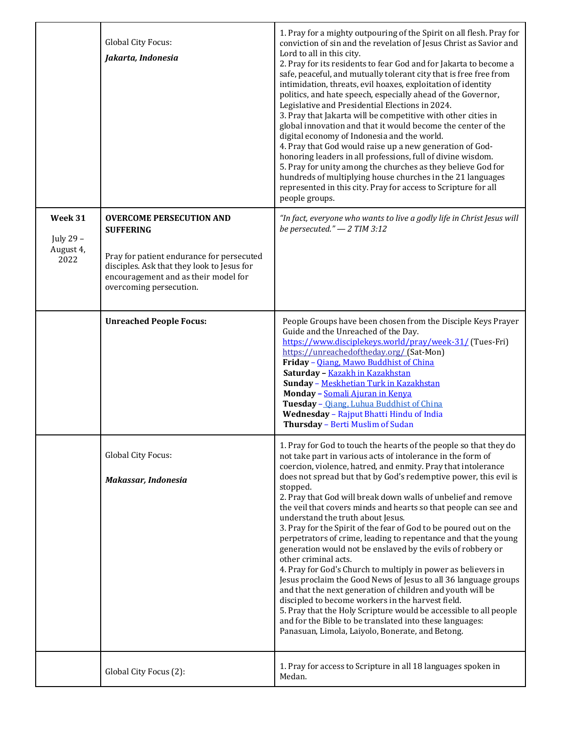|                                           | Global City Focus:<br>Jakarta, Indonesia                                                                                                                                                                          | 1. Pray for a mighty outpouring of the Spirit on all flesh. Pray for<br>conviction of sin and the revelation of Jesus Christ as Savior and<br>Lord to all in this city.<br>2. Pray for its residents to fear God and for Jakarta to become a<br>safe, peaceful, and mutually tolerant city that is free free from<br>intimidation, threats, evil hoaxes, exploitation of identity<br>politics, and hate speech, especially ahead of the Governor,<br>Legislative and Presidential Elections in 2024.<br>3. Pray that Jakarta will be competitive with other cities in<br>global innovation and that it would become the center of the<br>digital economy of Indonesia and the world.<br>4. Pray that God would raise up a new generation of God-<br>honoring leaders in all professions, full of divine wisdom.<br>5. Pray for unity among the churches as they believe God for<br>hundreds of multiplying house churches in the 21 languages<br>represented in this city. Pray for access to Scripture for all<br>people groups.                                                                                                      |
|-------------------------------------------|-------------------------------------------------------------------------------------------------------------------------------------------------------------------------------------------------------------------|----------------------------------------------------------------------------------------------------------------------------------------------------------------------------------------------------------------------------------------------------------------------------------------------------------------------------------------------------------------------------------------------------------------------------------------------------------------------------------------------------------------------------------------------------------------------------------------------------------------------------------------------------------------------------------------------------------------------------------------------------------------------------------------------------------------------------------------------------------------------------------------------------------------------------------------------------------------------------------------------------------------------------------------------------------------------------------------------------------------------------------------|
| Week 31<br>July 29 -<br>August 4,<br>2022 | <b>OVERCOME PERSECUTION AND</b><br><b>SUFFERING</b><br>Pray for patient endurance for persecuted<br>disciples. Ask that they look to Jesus for<br>encouragement and as their model for<br>overcoming persecution. | "In fact, everyone who wants to live a godly life in Christ Jesus will<br>be persecuted." $-2$ TIM 3:12                                                                                                                                                                                                                                                                                                                                                                                                                                                                                                                                                                                                                                                                                                                                                                                                                                                                                                                                                                                                                                |
|                                           | <b>Unreached People Focus:</b>                                                                                                                                                                                    | People Groups have been chosen from the Disciple Keys Prayer<br>Guide and the Unreached of the Day.<br>https://www.disciplekeys.world/pray/week-31/ (Tues-Fri)<br>https://unreachedoftheday.org/ (Sat-Mon)<br>Friday - Qiang, Mawo Buddhist of China<br>Saturday - Kazakh in Kazakhstan<br>Sunday - Meskhetian Turk in Kazakhstan<br>Monday - Somali Ajuran in Kenya<br>Tuesday - Oiang, Luhua Buddhist of China<br>Wednesday - Rajput Bhatti Hindu of India<br>Thursday - Berti Muslim of Sudan                                                                                                                                                                                                                                                                                                                                                                                                                                                                                                                                                                                                                                       |
|                                           | Global City Focus:<br>Makassar, Indonesia                                                                                                                                                                         | 1. Pray for God to touch the hearts of the people so that they do<br>not take part in various acts of intolerance in the form of<br>coercion, violence, hatred, and enmity. Pray that intolerance<br>does not spread but that by God's redemptive power, this evil is<br>stopped.<br>2. Pray that God will break down walls of unbelief and remove<br>the veil that covers minds and hearts so that people can see and<br>understand the truth about Jesus.<br>3. Pray for the Spirit of the fear of God to be poured out on the<br>perpetrators of crime, leading to repentance and that the young<br>generation would not be enslaved by the evils of robbery or<br>other criminal acts.<br>4. Pray for God's Church to multiply in power as believers in<br>Jesus proclaim the Good News of Jesus to all 36 language groups<br>and that the next generation of children and youth will be<br>discipled to become workers in the harvest field.<br>5. Pray that the Holy Scripture would be accessible to all people<br>and for the Bible to be translated into these languages:<br>Panasuan, Limola, Laiyolo, Bonerate, and Betong. |
|                                           | Global City Focus (2):                                                                                                                                                                                            | 1. Pray for access to Scripture in all 18 languages spoken in<br>Medan.                                                                                                                                                                                                                                                                                                                                                                                                                                                                                                                                                                                                                                                                                                                                                                                                                                                                                                                                                                                                                                                                |